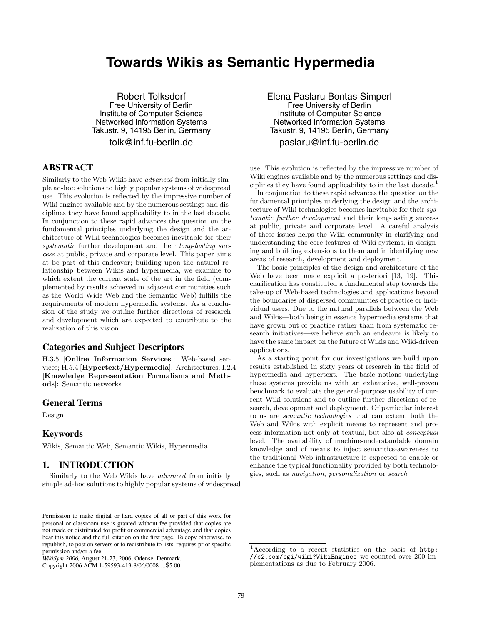# **Towards Wikis as Semantic Hypermedia**

Robert Tolksdorf Free University of Berlin Institute of Computer Science Networked Information Systems Takustr. 9, 14195 Berlin, Germany

tolk@inf.fu-berlin.de

# **ABSTRACT**

Similarly to the Web Wikis have *advanced* from initially simple ad-hoc solutions to highly popular systems of widespread use. This evolution is reflected by the impressive number of Wiki engines available and by the numerous settings and disciplines they have found applicability to in the last decade. In conjunction to these rapid advances the question on the fundamental principles underlying the design and the architecture of Wiki technologies becomes inevitable for their *systematic* further development and their *long-lasting success* at public, private and corporate level. This paper aims at be part of this endeavor; building upon the natural relationship between Wikis and hypermedia, we examine to which extent the current state of the art in the field (complemented by results achieved in adjacent communities such as the World Wide Web and the Semantic Web) fulfills the requirements of modern hypermedia systems. As a conclusion of the study we outline further directions of research and development which are expected to contribute to the realization of this vision.

## **Categories and Subject Descriptors**

H.3.5 [**Online Information Services**]: Web-based services; H.5.4 [**Hypertext/Hypermedia**]: Architectures; I.2.4 [**Knowledge Representation Formalisms and Methods**]: Semantic networks

## **General Terms**

Design

## **Keywords**

Wikis, Semantic Web, Semantic Wikis, Hypermedia

# **1. INTRODUCTION**

Similarly to the Web Wikis have *advanced* from initially simple ad-hoc solutions to highly popular systems of widespread

Copyright 2006 ACM 1-59593-413-8/06/0008 ...\$5.00.

Elena Paslaru Bontas Simperl Free University of Berlin Institute of Computer Science Networked Information Systems Takustr. 9, 14195 Berlin, Germany paslaru@inf.fu-berlin.de

use. This evolution is reflected by the impressive number of Wiki engines available and by the numerous settings and disciplines they have found applicability to in the last decade. $<sup>1</sup>$ </sup>

In conjunction to these rapid advances the question on the fundamental principles underlying the design and the architecture of Wiki technologies becomes inevitable for their *systematic further development* and their long-lasting success at public, private and corporate level. A careful analysis of these issues helps the Wiki community in clarifying and understanding the core features of Wiki systems, in designing and building extensions to them and in identifying new areas of research, development and deployment.

The basic principles of the design and architecture of the Web have been made explicit a posteriori [13, 19]. This clarification has constituted a fundamental step towards the take-up of Web-based technologies and applications beyond the boundaries of dispersed communities of practice or individual users. Due to the natural parallels between the Web and Wikis—both being in essence hypermedia systems that have grown out of practice rather than from systematic research initiatives—we believe such an endeavor is likely to have the same impact on the future of Wikis and Wiki-driven applications.

As a starting point for our investigations we build upon results established in sixty years of research in the field of hypermedia and hypertext. The basic notions underlying these systems provide us with an exhaustive, well-proven benchmark to evaluate the general-purpose usability of current Wiki solutions and to outline further directions of research, development and deployment. Of particular interest to us are *semantic technologies* that can extend both the Web and Wikis with explicit means to represent and process information not only at textual, but also at *conceptual* level. The availability of machine-understandable domain knowledge and of means to inject semantics-awareness to the traditional Web infrastructure is expected to enable or enhance the typical functionality provided by both technologies, such as *navigation*, *personalization* or *search*.

Permission to make digital or hard copies of all or part of this work for personal or classroom use is granted without fee provided that copies are not made or distributed for profit or commercial advantage and that copies bear this notice and the full citation on the first page. To copy otherwise, to republish, to post on servers or to redistribute to lists, requires prior specific permission and/or a fee.

*WikiSym 2006,* August 21-23, 2006, Odense, Denmark.

<sup>1</sup>According to a recent statistics on the basis of http: //c2.com/cgi/wiki?WikiEngines we counted over 200 implementations as due to February 2006.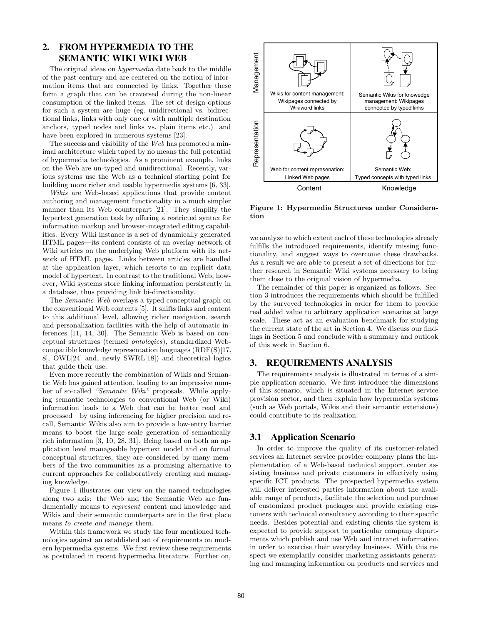# **2. FROM HYPERMEDIA TO THE SEMANTIC WIKI WIKI WEB**

The original ideas on *hypermedia* date back to the middle of the past century and are centered on the notion of information items that are connected by links. Together these form a graph that can be traversed during the non-linear consumption of the linked items. The set of design options for such a system are huge (eg. unidirectional vs. bidirectional links, links with only one or with multiple destination anchors, typed nodes and links vs. plain items etc.) and have been explored in numerous systems [23].

The success and visibility of the *Web* has promoted a minimal architecture which taped by no means the full potential of hypermedia technologies. As a prominent example, links on the Web are un-typed and unidirectional. Recently, various systems use the Web as a technical starting point for building more richer and usable hypermedia systems [6, 33].

*Wikis* are Web-based applications that provide content authoring and management functionality in a much simpler manner than its Web counterpart [21]. They simplify the hypertext generation task by offering a restricted syntax for information markup and browser-integrated editing capabilities. Every Wiki instance is a set of dynamically generated HTML pages—its content consists of an overlay network of Wiki articles on the underlying Web platform with its network of HTML pages. Links between articles are handled at the application layer, which resorts to an explicit data model of hypertext. In contrast to the traditional Web, however, Wiki systems store linking information persistently in a database, thus providing link bi-directionality.

The *Semantic Web* overlays a typed conceptual graph on the conventional Web contents [5]. It shifts links and content to this additional level, allowing richer navigation, search and personalization facilities with the help of automatic inferences [11, 14, 30]. The Semantic Web is based on conceptual structures (termed *ontologies*), standardized Webcompatible knowledge representation languages (RDF(S)[17, 8], OWL[24] and, newly SWRL[18]) and theoretical logics that guide their use.

Even more recently the combination of Wikis and Semantic Web has gained attention, leading to an impressive number of so-called *"Semantic Wiki"* proposals. While applying semantic technologies to conventional Web (or Wiki) information leads to a Web that can be better read and processed—by using inferencing for higher precision and recall, Semantic Wikis also aim to provide a low-entry barrier means to boost the large scale generation of semantically rich information [3, 10, 28, 31]. Being based on both an application level manageable hypertext model and on formal conceptual structures, they are considered by many members of the two communities as a promising alternative to current approaches for collaboratively creating and managing knowledge.

Figure 1 illustrates our view on the named technologies along two axis: the Web and the Semantic Web are fundamentally means to *represent* content and knowledge and Wikis and their semantic counterparts are in the first place means *to create and manage* them.

Within this framework we study the four mentioned technologies against an established set of requirements on modern hypermedia systems. We first review these requirements as postulated in recent hypermedia literature. Further on,



**Figure 1: Hypermedia Structures under Consideration**

we analyze to which extent each of these technologies already fulfills the introduced requirements, identify missing functionality, and suggest ways to overcome these drawbacks. As a result we are able to present a set of directions for further research in Semantic Wiki systems necessary to bring them close to the original vision of hypermedia.

The remainder of this paper is organized as follows. Section 3 introduces the requirements which should be fulfilled by the surveyed technologies in order for them to provide real added value to arbitrary application scenarios at large scale. These act as an evaluation benchmark for studying the current state of the art in Section 4. We discuss our findings in Section 5 and conclude with a summary and outlook of this work in Section 6.

# **3. REQUIREMENTS ANALYSIS**

The requirements analysis is illustrated in terms of a simple application scenario. We first introduce the dimensions of this scenario, which is situated in the Internet service provision sector, and then explain how hypermedia systems (such as Web portals, Wikis and their semantic extensions) could contribute to its realization.

## **3.1 Application Scenario**

In order to improve the quality of its customer-related services an Internet service provider company plans the implementation of a Web-based technical support center assisting business and private customers in effectively using specific ICT products. The prospected hypermedia system will deliver interested parties information about the available range of products, facilitate the selection and purchase of customized product packages and provide existing customers with technical consultancy according to their specific needs. Besides potential and existing clients the system is expected to provide support to particular company departments which publish and use Web and intranet information in order to exercise their everyday business. With this respect we exemplarily consider marketing assistants generating and managing information on products and services and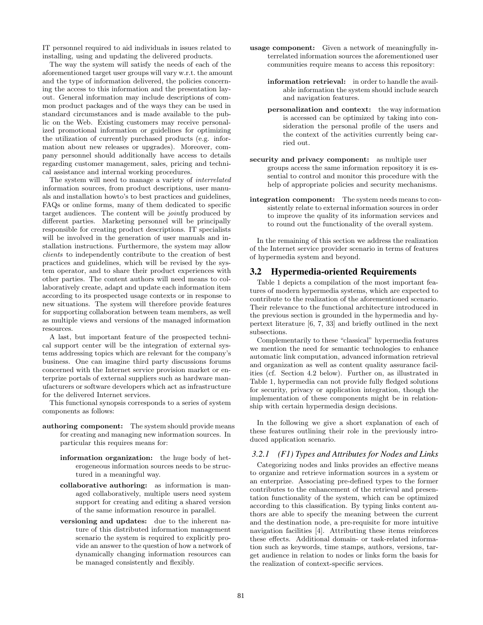IT personnel required to aid individuals in issues related to installing, using and updating the delivered products.

The way the system will satisfy the needs of each of the aforementioned target user groups will vary w.r.t. the amount and the type of information delivered, the policies concerning the access to this information and the presentation layout. General information may include descriptions of common product packages and of the ways they can be used in standard circumstances and is made available to the public on the Web. Existing customers may receive personalized promotional information or guidelines for optimizing the utilization of currently purchased products (e.g. information about new releases or upgrades). Moreover, company personnel should additionally have access to details regarding customer management, sales, pricing and technical assistance and internal working procedures.

The system will need to manage a variety of *interrelated* information sources, from product descriptions, user manuals and installation howto's to best practices and guidelines, FAQs or online forms, many of them dedicated to specific target audiences. The content will be *jointly* produced by different parties. Marketing personnel will be principally responsible for creating product descriptions. IT specialists will be involved in the generation of user manuals and installation instructions. Furthermore, the system may allow *clients* to independently contribute to the creation of best practices and guidelines, which will be revised by the system operator, and to share their product experiences with other parties. The content authors will need means to collaboratively create, adapt and update each information item according to its prospected usage contexts or in response to new situations. The system will therefore provide features for supporting collaboration between team members, as well as multiple views and versions of the managed information resources.

A last, but important feature of the prospected technical support center will be the integration of external systems addressing topics which are relevant for the company's business. One can imagine third party discussions forums concerned with the Internet service provision market or enterprize portals of external suppliers such as hardware manufacturers or software developers which act as infrastructure for the delivered Internet services.

This functional synopsis corresponds to a series of system components as follows:

- **authoring component:** The system should provide means for creating and managing new information sources. In particular this requires means for:
	- **information organization:** the huge body of heterogeneous information sources needs to be structured in a meaningful way.
	- **collaborative authoring:** as information is managed collaboratively, multiple users need system support for creating and editing a shared version of the same information resource in parallel.
	- **versioning and updates:** due to the inherent nature of this distributed information management scenario the system is required to explicitly provide an answer to the question of how a network of dynamically changing information resources can be managed consistently and flexibly.
- **usage component:** Given a network of meaningfully interrelated information sources the aforementioned user communities require means to access this repository:
	- **information retrieval:** in order to handle the available information the system should include search and navigation features.
	- **personalization and context:** the way information is accessed can be optimized by taking into consideration the personal profile of the users and the context of the activities currently being carried out.
- **security and privacy component:** as multiple user groups access the same information repository it is essential to control and monitor this procedure with the help of appropriate policies and security mechanisms.
- **integration component:** The system needs means to consistently relate to external information sources in order to improve the quality of its information services and to round out the functionality of the overall system.

In the remaining of this section we address the realization of the Internet service provider scenario in terms of features of hypermedia system and beyond.

## **3.2 Hypermedia-oriented Requirements**

Table 1 depicts a compilation of the most important features of modern hypermedia systems, which are expected to contribute to the realization of the aforementioned scenario. Their relevance to the functional architecture introduced in the previous section is grounded in the hypermedia and hypertext literature [6, 7, 33] and briefly outlined in the next subsections.

Complementarily to these "classical" hypermedia features we mention the need for semantic technologies to enhance automatic link computation, advanced information retrieval and organization as well as content quality assurance facilities (cf. Section 4.2 below). Further on, as illustrated in Table 1, hypermedia can not provide fully fledged solutions for security, privacy or application integration, though the implementation of these components might be in relationship with certain hypermedia design decisions.

In the following we give a short explanation of each of these features outlining their role in the previously introduced application scenario.

#### *3.2.1 (F1) Types and Attributes for Nodes and Links*

Categorizing nodes and links provides an effective means to organize and retrieve information sources in a system or an enterprize. Associating pre-defined types to the former contributes to the enhancement of the retrieval and presentation functionality of the system, which can be optimized according to this classification. By typing links content authors are able to specify the meaning between the current and the destination node, a pre-requisite for more intuitive navigation facilities [4]. Attributing these items reinforces these effects. Additional domain- or task-related information such as keywords, time stamps, authors, versions, target audience in relation to nodes or links form the basis for the realization of context-specific services.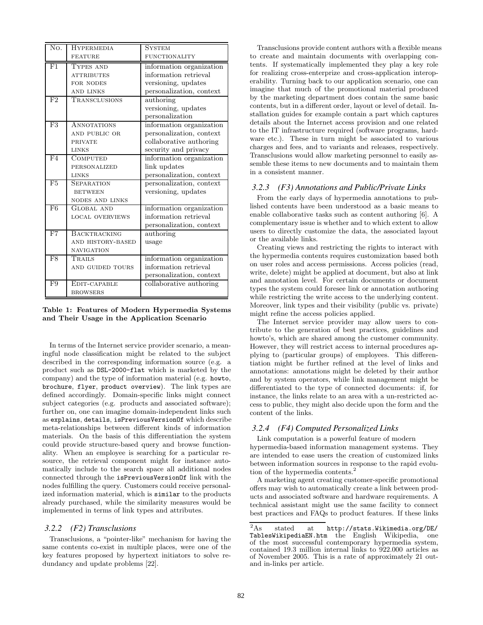| No.                      | $\overline{H}$ YPERMEDIA | <b>SYSTEM</b>            |
|--------------------------|--------------------------|--------------------------|
|                          | <b>FEATURE</b>           | <b>FUNCTIONALITY</b>     |
| F1                       | <b>TYPES AND</b>         | information organization |
|                          | <b>ATTRIBUTES</b>        | information retrieval    |
|                          | FOR NODES                | versioning, updates      |
|                          | <b>AND LINKS</b>         | personalization, context |
| F <sub>2</sub>           | TRANSCLUSIONS            | authoring                |
|                          |                          | versioning, updates      |
|                          |                          | personalization          |
| $\overline{\mathrm{F3}}$ | <b>ANNOTATIONS</b>       | information organization |
|                          | AND PUBLIC OR            | personalization, context |
|                          | <b>PRIVATE</b>           | collaborative authoring  |
|                          | <b>LINKS</b>             | security and privacy     |
| F <sub>4</sub>           | COMPUTED                 | information organization |
|                          | PERSONALIZED             | link updates             |
|                          | <b>LINKS</b>             | personalization, context |
| F5                       | SEPARATION               | personalization, context |
|                          | <b>BETWEEN</b>           | versioning, updates      |
|                          | <b>NODES AND LINKS</b>   |                          |
| F6                       | <b>GLOBAL AND</b>        | information organization |
|                          | <b>LOCAL OVERVIEWS</b>   | information retrieval    |
|                          |                          | personalization, context |
| F7                       | <b>BACKTRACKING</b>      | authoring                |
|                          | AND HISTORY-BASED        | usage                    |
|                          | <b>NAVIGATION</b>        |                          |
| F8                       | TRAILS                   | information organization |
|                          | AND GUIDED TOURS         | information retrieval    |
|                          |                          | personalization, context |
| $\overline{F9}$          | EDIT-CAPABLE             | collaborative authoring  |
|                          | <b>BROWSERS</b>          |                          |

**Table 1: Features of Modern Hypermedia Systems and Their Usage in the Application Scenario**

In terms of the Internet service provider scenario, a meaningful node classification might be related to the subject described in the corresponding information source (e.g. a product such as DSL-2000-flat which is marketed by the company) and the type of information material (e.g. howto, brochure, flyer, product overview). The link types are defined accordingly. Domain-specific links might connect subject categories (e.g. products and associated software); further on, one can imagine domain-independent links such as explains, details, isPreviousVersionOf which describe meta-relationships between different kinds of information materials. On the basis of this differentiation the system could provide structure-based query and browse functionality. When an employee is searching for a particular resource, the retrieval component might for instance automatically include to the search space all additional nodes connected through the isPreviousVersionOf link with the nodes fulfilling the query. Customers could receive personalized information material, which is similar to the products already purchased, while the similarity measures would be implemented in terms of link types and attributes.

#### *3.2.2 (F2) Transclusions*

Transclusions, a "pointer-like" mechanism for having the same contents co-exist in multiple places, were one of the key features proposed by hypertext initiators to solve redundancy and update problems [22].

Transclusions provide content authors with a flexible means to create and maintain documents with overlapping contents. If systematically implemented they play a key role for realizing cross-enterprize and cross-application interoperability. Turning back to our application scenario, one can imagine that much of the promotional material produced by the marketing department does contain the same basic contents, but in a different order, layout or level of detail. Installation guides for example contain a part which captures details about the Internet access provision and one related to the IT infrastructure required (software programs, hardware etc.). These in turn might be associated to various charges and fees, and to variants and releases, respectively. Transclusions would allow marketing personnel to easily assemble these items to new documents and to maintain them in a consistent manner.

#### *3.2.3 (F3) Annotations and Public/Private Links*

From the early days of hypermedia annotations to published contents have been understood as a basic means to enable collaborative tasks such as content authoring [6]. A complementary issue is whether and to which extent to allow users to directly customize the data, the associated layout or the available links.

Creating views and restricting the rights to interact with the hypermedia contents requires customization based both on user roles and access permissions. Access policies (read, write, delete) might be applied at document, but also at link and annotation level. For certain documents or document types the system could foresee link or annotation authoring while restricting the write access to the underlying content. Moreover, link types and their visibility (public vs. private) might refine the access policies applied.

The Internet service provider may allow users to contribute to the generation of best practices, guidelines and howto's, which are shared among the customer community. However, they will restrict access to internal procedures applying to (particular groups) of employees. This differentiation might be further refined at the level of links and annotations: annotations might be deleted by their author and by system operators, while link management might be differentiated to the type of connected documents: if, for instance, the links relate to an area with a un-restricted access to public, they might also decide upon the form and the content of the links.

#### *3.2.4 (F4) Computed Personalized Links*

Link computation is a powerful feature of modern hypermedia-based information management systems. They are intended to ease users the creation of customized links between information sources in response to the rapid evolution of the hypermedia contents.<sup>2</sup>

A marketing agent creating customer-specific promotional offers may wish to automatically create a link between products and associated software and hardware requirements. A technical assistant might use the same facility to connect best practices and FAQs to product features. If these links

 $\overline{P_{\text{As}}}$  stated at http://stats.Wikimedia.org/DE/ TablesWikipediaEN.htm the English Wikipedia, one of the most successful contemporary hypermedia system, contained 19.3 million internal links to 922.000 articles as of November 2005. This is a rate of approximately 21 outand in-links per article.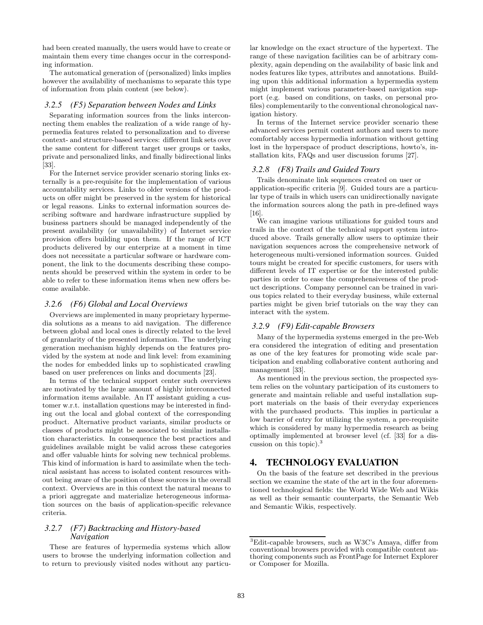had been created manually, the users would have to create or maintain them every time changes occur in the corresponding information.

The automatical generation of (personalized) links implies however the availability of mechanisms to separate this type of information from plain content (see below).

#### *3.2.5 (F5) Separation between Nodes and Links*

Separating information sources from the links interconnecting them enables the realization of a wide range of hypermedia features related to personalization and to diverse context- and structure-based services: different link sets over the same content for different target user groups or tasks, private and personalized links, and finally bidirectional links [33].

For the Internet service provider scenario storing links externally is a pre-requisite for the implementation of various accountability services. Links to older versions of the products on offer might be preserved in the system for historical or legal reasons. Links to external information sources describing software and hardware infrastructure supplied by business partners should be managed independently of the present availability (or unavailability) of Internet service provision offers building upon them. If the range of ICT products delivered by our enterprize at a moment in time does not necessitate a particular software or hardware component, the link to the documents describing these components should be preserved within the system in order to be able to refer to these information items when new offers become available.

## *3.2.6 (F6) Global and Local Overviews*

Overviews are implemented in many proprietary hypermedia solutions as a means to aid navigation. The difference between global and local ones is directly related to the level of granularity of the presented information. The underlying generation mechanism highly depends on the features provided by the system at node and link level: from examining the nodes for embedded links up to sophisticated crawling based on user preferences on links and documents [23].

In terms of the technical support center such overviews are motivated by the large amount of highly interconnected information items available. An IT assistant guiding a customer w.r.t. installation questions may be interested in finding out the local and global context of the corresponding product. Alternative product variants, similar products or classes of products might be associated to similar installation characteristics. In consequence the best practices and guidelines available might be valid across these categories and offer valuable hints for solving new technical problems. This kind of information is hard to assimilate when the technical assistant has access to isolated content resources without being aware of the position of these sources in the overall context. Overviews are in this context the natural means to a priori aggregate and materialize heterogeneous information sources on the basis of application-specific relevance criteria.

#### *3.2.7 (F7) Backtracking and History-based Navigation*

These are features of hypermedia systems which allow users to browse the underlying information collection and to return to previously visited nodes without any particular knowledge on the exact structure of the hypertext. The range of these navigation facilities can be of arbitrary complexity, again depending on the availability of basic link and nodes features like types, attributes and annotations. Building upon this additional information a hypermedia system might implement various parameter-based navigation support (e.g. based on conditions, on tasks, on personal profiles) complementarily to the conventional chronological navigation history.

In terms of the Internet service provider scenario these advanced services permit content authors and users to more comfortably access hypermedia information without getting lost in the hyperspace of product descriptions, howto's, installation kits, FAQs and user discussion forums [27].

#### *3.2.8 (F8) Trails and Guided Tours*

Trails denominate link sequences created on user or application-specific criteria [9]. Guided tours are a particular type of trails in which users can unidirectionally navigate the information sources along the path in pre-defined ways [16].

We can imagine various utilizations for guided tours and trails in the context of the technical support system introduced above. Trails generally allow users to optimize their navigation sequences across the comprehensive network of heterogeneous multi-versioned information sources. Guided tours might be created for specific customers, for users with different levels of IT expertise or for the interested public parties in order to ease the comprehensiveness of the product descriptions. Company personnel can be trained in various topics related to their everyday business, while external parties might be given brief tutorials on the way they can interact with the system.

#### *3.2.9 (F9) Edit-capable Browsers*

Many of the hypermedia systems emerged in the pre-Web era considered the integration of editing and presentation as one of the key features for promoting wide scale participation and enabling collaborative content authoring and management [33].

As mentioned in the previous section, the prospected system relies on the voluntary participation of its customers to generate and maintain reliable and useful installation support materials on the basis of their everyday experiences with the purchased products. This implies in particular a low barrier of entry for utilizing the system, a pre-requisite which is considered by many hypermedia research as being optimally implemented at browser level (cf. [33] for a discussion on this topic).<sup>3</sup>

## **4. TECHNOLOGY EVALUATION**

On the basis of the feature set described in the previous section we examine the state of the art in the four aforementioned technological fields: the World Wide Web and Wikis as well as their semantic counterparts, the Semantic Web and Semantic Wikis, respectively.

<sup>3</sup>Edit-capable browsers, such as W3C's Amaya, differ from conventional browsers provided with compatible content authoring components such as FrontPage for Internet Explorer or Composer for Mozilla.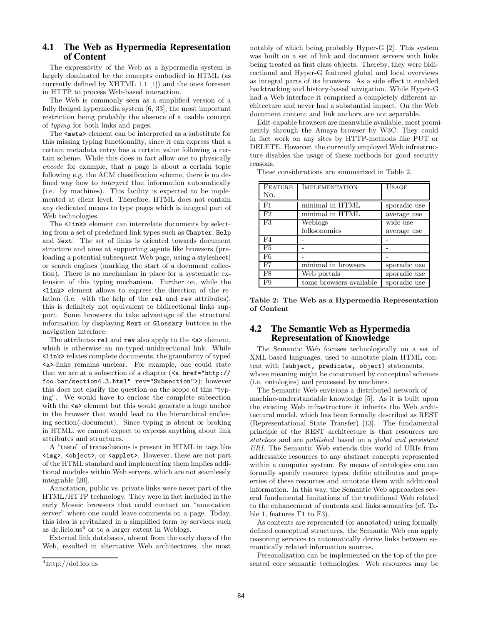# **4.1 The Web as Hypermedia Representation of Content**

The expressivity of the Web as a hypermedia system is largely dominated by the concepts embodied in HTML (as currently defined by XHTML 1.1 [1]) and the ones foreseen in HTTP to process Web-based interaction.

The Web is commonly seen as a simplified version of a fully fledged hypermedia system [6, 33], the most important restriction being probably the absence of a usable concept of *typing* for both links and pages.

The <meta> element can be interpreted as a substitute for this missing typing functionality, since it can express that a certain metadata entry has a certain value following a certain scheme. While this does in fact allow one to physically *encode* for example, that a page is about a certain topic following e.g. the ACM classification scheme, there is no defined way how to *interpret* that information automatically (i.e. by machines). This facility is expected to be implemented at client level. Therefore, HTML does not contain any dedicated means to type pages which is integral part of Web technologies.

The <link> element can interrelate documents by selecting from a set of predefined link types such as Chapter, Help and Next. The set of links is oriented towards document structure and aims at supporting agents like browsers (preloading a potential subsequent Web page, using a stylesheet) or search engines (marking the start of a document collection). There is no mechanism in place for a systematic extension of this typing mechanism. Further on, while the <link> element allows to express the direction of the relation (i.e. with the help of the rel and rev attributes), this is definitely not equivalent to bidirectional links support. Some browsers do take advantage of the structural information by displaying Next or Glossary buttons in the navigation interface.

The attributes rel and rev also apply to the  $\leq a$  element, which is otherwise an un-typed unidirectional link. While <link> relates complete documents, the granularity of typed <a>-links remains unclear. For example, one could state that we are at a subsection of a chapter  $(\leq a \text{ href}=\text{http://}$ foo.bar/section4.3.html" rev="Subsection">); however this does not clarify the question on the scope of this "typing". We would have to enclose the complete subsection with the  $\langle a \rangle$  element but this would generate a huge anchor in the browser that would lead to the hierarchical enclosing section(-document). Since typing is absent or broking in HTML, we cannot expect to express anything about link attributes and structures.

A "taste" of transclusions is present in HTML in tags like <img>, <object>, or <applet>. However, these are not part of the HTML standard and implementing them implies additional modules within Web servers, which are not seamlessly integrable [20].

Annotation, public vs. private links were never part of the HTML/HTTP technology. They were in fact included in the early Mosaic browsers that could contact an "annotation server" where one could leave comments on a page. Today, this idea is revitalized in a simplified form by services such as de.licio.us<sup>4</sup> or to a larger extent in Weblogs.

External link databases, absent from the early days of the Web, resulted in alternative Web architectures, the most

notably of which being probably Hyper-G [2]. This system was built on a set of link and document servers with links being treated as first class objects. Thereby, they were bidirectional and Hyper-G featured global and local overviews as integral parts of its browsers. As a side effect it enabled backtracking and history-based navigation. While Hyper-G had a Web interface it comprised a completely different architecture and never had a substantial impact. On the Web document content and link anchors are not separable.

Edit-capable browsers are meanwhile available, most prominently through the Amaya browser by W3C. They could in fact work on any sites by HTTP-methods like PUT or DELETE. However, the currently employed Web infrastructure disables the usage of these methods for good security reasons.

| FEATURE        | <b>IMPLEMENTATION</b>   | <b>USAGE</b> |
|----------------|-------------------------|--------------|
| No.            |                         |              |
| F1             | minimal in HTML         | sporadic use |
| F <sub>2</sub> | minimal in HTML         | average use  |
| F3             | Weblogs                 | wide use     |
|                | folksonomies            | average use  |
| F4             |                         |              |
| F5             |                         |              |
| F6             |                         |              |
| $_{\rm F7}$    | minimal in browsers     | sporadic use |
| F8             | Web portals             | sporadic use |
| F9             | some browsers available | sporadic use |

These considerations are summarized in Table 2.

**Table 2: The Web as a Hypermedia Representation of Content**

## **4.2 The Semantic Web as Hypermedia Representation of Knowledge**

The Semantic Web focuses technologically on a set of XML-based languages, used to annotate plain HTML content with (subject, predicate, object) statements, whose meaning might be constrained by conceptual schemes (i.e. ontologies) and processed by machines.

The Semantic Web envisions a distributed network of machine-understandable knowledge [5]. As it is built upon the existing Web infrastructure it inherits the Web architectural model, which has been formally described as REST (Representational State Transfer) [13]. The fundamental principle of the REST architecture is that resources are *stateless* and are *published* based on a *global and persistent URI*. The Semantic Web extends this world of URIs from addressable resources to any abstract concepts represented within a computer system. By means of ontologies one can formally specify resource types, define attributes and properties of these resources and annotate them with additional information. In this way, the Semantic Web approaches several fundamental limitations of the traditional Web related to the enhancement of contents and links semantics (cf. Table 1, features F1 to F3).

As contents are represented (or annotated) using formally defined conceptual structures, the Semantic Web can apply reasoning services to automatically derive links between semantically related information sources.

Personalization can be implemented on the top of the presented core semantic technologies. Web resources may be

 $^4 \mbox{http://del.ico.us}$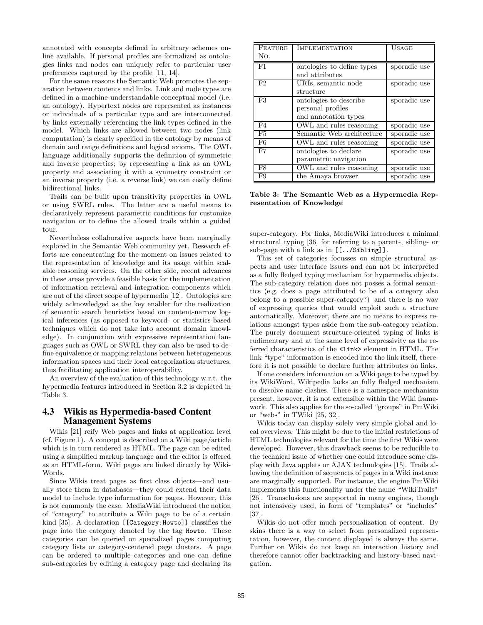annotated with concepts defined in arbitrary schemes online available. If personal profiles are formalized as ontologies links and nodes can uniquely refer to particular user preferences captured by the profile [11, 14].

For the same reasons the Semantic Web promotes the separation between contents and links. Link and node types are defined in a machine-understandable conceptual model (i.e. an ontology). Hypertext nodes are represented as instances or individuals of a particular type and are interconnected by links externally referencing the link types defined in the model. Which links are allowed between two nodes (link computation) is clearly specified in the ontology by means of domain and range definitions and logical axioms. The OWL language additionally supports the definition of symmetric and inverse properties; by representing a link as an OWL property and associating it with a symmetry constraint or an inverse property (i.e. a reverse link) we can easily define bidirectional links.

Trails can be built upon transitivity properties in OWL or using SWRL rules. The latter are a useful means to declaratively represent parametric conditions for customize navigation or to define the allowed trails within a guided tour.

Nevertheless collaborative aspects have been marginally explored in the Semantic Web community yet. Research efforts are concentrating for the moment on issues related to the representation of knowledge and its usage within scalable reasoning services. On the other side, recent advances in these areas provide a feasible basis for the implementation of information retrieval and integration components which are out of the direct scope of hypermedia [12]. Ontologies are widely acknowledged as the key enabler for the realization of semantic search heuristics based on content-narrow logical inferences (as opposed to keyword- or statistics-based techniques which do not take into account domain knowledge). In conjunction with expressive representation languages such as OWL or SWRL they can also be used to define equivalence or mapping relations between heterogeneous information spaces and their local categorization structures, thus facilitating application interoperability.

An overview of the evaluation of this technology w.r.t. the hypermedia features introduced in Section 3.2 is depicted in Table 3.

## **4.3 Wikis as Hypermedia-based Content Management Systems**

Wikis [21] reify Web pages and links at application level (cf. Figure 1). A concept is described on a Wiki page/article which is in turn rendered as HTML. The page can be edited using a simplified markup language and the editor is offered as an HTML-form. Wiki pages are linked directly by Wiki-Words.

Since Wikis treat pages as first class objects—and usually store them in databases—they could extend their data model to include type information for pages. However, this is not commonly the case. MediaWiki introduced the notion of "category" to attribute a Wiki page to be of a certain kind [35]. A declaration [[Category:Howto]] classifies the page into the category denoted by the tag Howto. These categories can be queried on specialized pages computing category lists or category-centered page clusters. A page can be ordered to multiple categories and one can define sub-categories by editing a category page and declaring its

| FEATURE        | IMPLEMENTATION             | $USAGE$      |
|----------------|----------------------------|--------------|
| No.            |                            |              |
| F1             | ontologies to define types | sporadic use |
|                | and attributes             |              |
| F2             | URIs, semantic node        | sporadic use |
|                | structure                  |              |
| F3             | ontologies to describe     | sporadic use |
|                | personal profiles          |              |
|                | and annotation types       |              |
| F4             | OWL and rules reasoning    | sporadic use |
| F5             | Semantic Web architecture  | sporadic use |
| F <sub>6</sub> | OWL and rules reasoning    | sporadic use |
| F7             | ontologies to declare      | sporadic use |
|                | parametric navigation      |              |
| F8             | OWL and rules reasoning    | sporadic use |
| F9             | the Amaya browser          | sporadic use |

**Table 3: The Semantic Web as a Hypermedia Representation of Knowledge**

super-category. For links, MediaWiki introduces a minimal structural typing [36] for referring to a parent-, sibling- or sub-page with a link as in [[../Sibling]].

This set of categories focusses on simple structural aspects and user interface issues and can not be interpreted as a fully fledged typing mechanism for hypermedia objects. The sub-category relation does not posses a formal semantics (e.g. does a page attributed to be of a category also belong to a possible super-category?) and there is no way of expressing queries that would exploit such a structure automatically. Moreover, there are no means to express relations amongst types aside from the sub-category relation. The purely document structure-oriented typing of links is rudimentary and at the same level of expressivity as the referred characteristics of the  $\langle$ link> element in HTML. The link "type" information is encoded into the link itself, therefore it is not possible to declare further attributes on links.

If one considers information on a Wiki page to be typed by its WikiWord, Wikipedia lacks an fully fledged mechanism to dissolve name clashes. There is a namespace mechanism present, however, it is not extensible within the Wiki framework. This also applies for the so-called "groups" in PmWiki or "webs" in TWiki [25, 32].

Wikis today can display solely very simple global and local overviews. This might be due to the initial restrictions of HTML technologies relevant for the time the first Wikis were developed. However, this drawback seems to be reducible to the technical issue of whether one could introduce some display with Java applets or AJAX technologies [15]. Trails allowing the definition of sequences of pages in a Wiki instance are marginally supported. For instance, the engine PmWiki implements this functionality under the name "WikiTrails" [26]. Transclusions are supported in many engines, though not intensively used, in form of "templates" or "includes" [37].

Wikis do not offer much personalization of content. By skins there is a way to select from personalized representation, however, the content displayed is always the same. Further on Wikis do not keep an interaction history and therefore cannot offer backtracking and history-based navigation.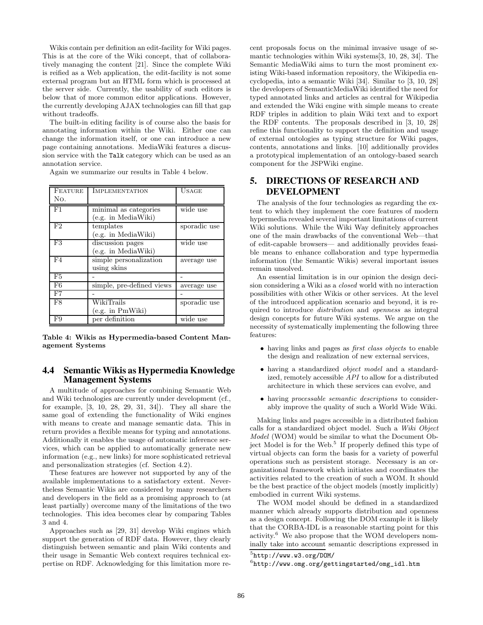Wikis contain per definition an edit-facility for Wiki pages. This is at the core of the Wiki concept, that of collaboratively managing the content [21]. Since the complete Wiki is reified as a Web application, the edit-facility is not some external program but an HTML form which is processed at the server side. Currently, the usability of such editors is below that of more common editor applications. However, the currently developing AJAX technologies can fill that gap without tradeoffs.

The built-in editing facility is of course also the basis for annotating information within the Wiki. Either one can change the information itself, or one can introduce a new page containing annotations. MediaWiki features a discussion service with the Talk category which can be used as an annotation service.

Again we summarize our results in Table 4 below.

| FEATURE<br>No. | <b>IMPLEMENTATION</b>     | <b>USAGE</b> |
|----------------|---------------------------|--------------|
| F1             | minimal as categories     | wide use     |
|                | (e.g. in MediaWiki)       |              |
| F <sub>2</sub> | templates                 | sporadic use |
|                | (e.g. in MediaWiki)       |              |
| F3             | discussion pages          | wide use     |
|                | (e.g. in MediaWiki)       |              |
| F4             | simple personalization    | average use  |
|                | using skins               |              |
| F <sub>5</sub> |                           |              |
| F <sub>6</sub> | simple, pre-defined views | average use  |
| F7             |                           |              |
| F8             | WikiTrails                | sporadic use |
|                | (e.g. in PmWiki)          |              |
| F9             | per definition            | wide use     |

**Table 4: Wikis as Hypermedia-based Content Management Systems**

## **4.4 Semantic Wikis as Hypermedia Knowledge Management Systems**

A multitude of approaches for combining Semantic Web and Wiki technologies are currently under development (cf., for example, [3, 10, 28, 29, 31, 34]). They all share the same goal of extending the functionality of Wiki engines with means to create and manage semantic data. This in return provides a flexible means for typing and annotations. Additionally it enables the usage of automatic inference services, which can be applied to automatically generate new information (e.g., new links) for more sophisticated retrieval and personalization strategies (cf. Section 4.2).

These features are however not supported by any of the available implementations to a satisfactory extent. Nevertheless Semantic Wikis are considered by many researchers and developers in the field as a promising approach to (at least partially) overcome many of the limitations of the two technologies. This idea becomes clear by comparing Tables 3 and 4.

Approaches such as [29, 31] develop Wiki engines which support the generation of RDF data. However, they clearly distinguish between semantic and plain Wiki contents and their usage in Semantic Web context requires technical expertise on RDF. Acknowledging for this limitation more recent proposals focus on the minimal invasive usage of semantic technologies within Wiki systems[3, 10, 28, 34]. The Semantic MediaWiki aims to turn the most prominent existing Wiki-based information repository, the Wikipedia encyclopedia, into a semantic Wiki [34]. Similar to [3, 10, 28] the developers of SemanticMediaWiki identified the need for typed annotated links and articles as central for Wikipedia and extended the Wiki engine with simple means to create RDF triples in addition to plain Wiki text and to export the RDF contents. The proposals described in [3, 10, 28] refine this functionality to support the definition and usage of external ontologies as typing structure for Wiki pages, contents, annotations and links. [10] additionally provides a prototypical implementation of an ontology-based search component for the JSPWiki engine.

# **5. DIRECTIONS OF RESEARCH AND DEVELOPMENT**

The analysis of the four technologies as regarding the extent to which they implement the core features of modern hypermedia revealed several important limitations of current Wiki solutions. While the Wiki Way definitely approaches one of the main drawbacks of the conventional Web—that of edit-capable browsers— and additionally provides feasible means to enhance collaboration and type hypermedia information (the Semantic Wikis) several important issues remain unsolved.

An essential limitation is in our opinion the design decision considering a Wiki as a *closed* world with no interaction possibilities with other Wikis or other services. At the level of the introduced application scenario and beyond, it is required to introduce *distribution* and *openness* as integral design concepts for future Wiki systems. We argue on the necessity of systematically implementing the following three features:

- *•* having links and pages as *first class objects* to enable the design and realization of new external services,
- *•* having a standardized *object model* and a standardized, remotely accessible *API* to allow for a distributed architecture in which these services can evolve, and
- *•* having *processable semantic descriptions* to considerably improve the quality of such a World Wide Wiki.

Making links and pages accessible in a distributed fashion calls for a standardized object model. Such a *Wiki Object Model* (WOM) would be similar to what the Document Object Model is for the Web.<sup>5</sup> If properly defined this type of virtual objects can form the basis for a variety of powerful operations such as persistent storage. Necessary is an organizational framework which initiates and coordinates the activities related to the creation of such a WOM. It should be the best practice of the object models (mostly implicitly) embodied in current Wiki systems.

The WOM model should be defined in a standardized manner which already supports distribution and openness as a design concept. Following the DOM example it is likely that the CORBA-IDL is a reasonable starting point for this activity.<sup>6</sup> We also propose that the WOM developers nominally take into account semantic descriptions expressed in

 $5$ http://www.w3.org/DOM/

<sup>6</sup>http://www.omg.org/gettingstarted/omg\_idl.htm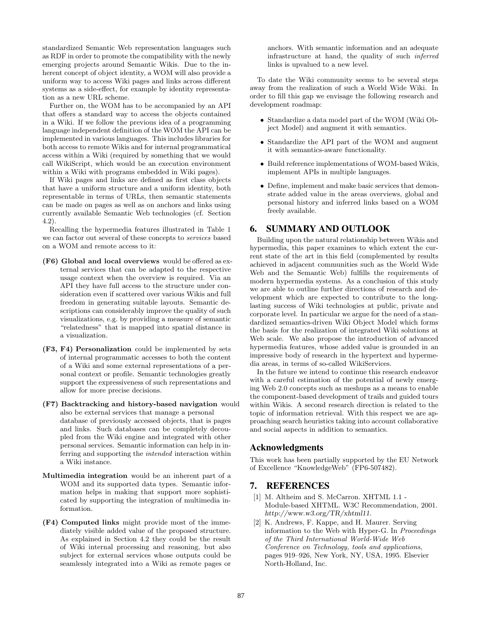standardized Semantic Web representation languages such as RDF in order to promote the compatibility with the newly emerging projects around Semantic Wikis. Due to the inherent concept of object identity, a WOM will also provide a uniform way to access Wiki pages and links across different systems as a side-effect, for example by identity representation as a new URL scheme.

Further on, the WOM has to be accompanied by an API that offers a standard way to access the objects contained in a Wiki. If we follow the previous idea of a programming language independent definition of the WOM the API can be implemented in various languages. This includes libraries for both access to remote Wikis and for internal programmatical access within a Wiki (required by something that we would call WikiScript, which would be an execution environment within a Wiki with programs embedded in Wiki pages).

If Wiki pages and links are defined as first class objects that have a uniform structure and a uniform identity, both representable in terms of URLs, then semantic statements can be made on pages as well as on anchors and links using currently available Semantic Web technologies (cf. Section 4.2).

Recalling the hypermedia features illustrated in Table 1 we can factor out several of these concepts to *services* based on a WOM and remote access to it:

- **(F6) Global and local overviews** would be offered as external services that can be adapted to the respective usage context when the overview is required. Via an API they have full access to the structure under consideration even if scattered over various Wikis and full freedom in generating suitable layouts. Semantic descriptions can considerably improve the quality of such visualizations, e.g. by providing a measure of semantic "relatedness" that is mapped into spatial distance in a visualization.
- **(F3, F4) Personalization** could be implemented by sets of internal programmatic accesses to both the content of a Wiki and some external representations of a personal context or profile. Semantic technologies greatly support the expressiveness of such representations and allow for more precise decisions.
- **(F7) Backtracking and history-based navigation** would also be external services that manage a personal database of previously accessed objects, that is pages and links. Such databases can be completely decoupled from the Wiki engine and integrated with other personal services. Semantic information can help in inferring and supporting the *intended* interaction within a Wiki instance.
- **Multimedia integration** would be an inherent part of a WOM and its supported data types. Semantic information helps in making that support more sophisticated by supporting the integration of multimedia information.
- **(F4) Computed links** might provide most of the immediately visible added value of the proposed structure. As explained in Section 4.2 they could be the result of Wiki internal processing and reasoning, but also subject for external services whose outputs could be seamlessly integrated into a Wiki as remote pages or

anchors. With semantic information and an adequate infrastructure at hand, the quality of such *inferred* links is upvalued to a new level.

To date the Wiki community seems to be several steps away from the realization of such a World Wide Wiki. In order to fill this gap we envisage the following research and development roadmap:

- *•* Standardize a data model part of the WOM (Wiki Object Model) and augment it with semantics.
- *•* Standardize the API part of the WOM and augment it with semantics-aware functionality.
- *•* Build reference implementations of WOM-based Wikis, implement APIs in multiple languages.
- *•* Define, implement and make basic services that demonstrate added value in the areas overviews, global and personal history and inferred links based on a WOM freely available.

# **6. SUMMARY AND OUTLOOK**

Building upon the natural relationship between Wikis and hypermedia, this paper examines to which extent the current state of the art in this field (complemented by results achieved in adjacent communities such as the World Wide Web and the Semantic Web) fulfills the requirements of modern hypermedia systems. As a conclusion of this study we are able to outline further directions of research and development which are expected to contribute to the longlasting success of Wiki technologies at public, private and corporate level. In particular we argue for the need of a standardized semantics-driven Wiki Object Model which forms the basis for the realization of integrated Wiki solutions at Web scale. We also propose the introduction of advanced hypermedia features, whose added value is grounded in an impressive body of research in the hypertext and hypermedia areas, in terms of so-called WikiServices.

In the future we intend to continue this research endeavor with a careful estimation of the potential of newly emerging Web 2.0 concepts such as meshups as a means to enable the component-based development of trails and guided tours within Wikis. A second research direction is related to the topic of information retrieval. With this respect we are approaching search heuristics taking into account collaborative and social aspects in addition to semantics.

## **Acknowledgments**

This work has been partially supported by the EU Network of Excellence "KnowledgeWeb" (FP6-507482).

# **7. REFERENCES**

- [1] M. Altheim and S. McCarron. XHTML 1.1 Module-based XHTML. W3C Recommendation, 2001. *http://www.w3.org/TR/xhtml11*.
- [2] K. Andrews, F. Kappe, and H. Maurer. Serving information to the Web with Hyper-G. In *Proceedings of the Third International World-Wide Web Conference on Technology, tools and applications*, pages 919–926, New York, NY, USA, 1995. Elsevier North-Holland, Inc.